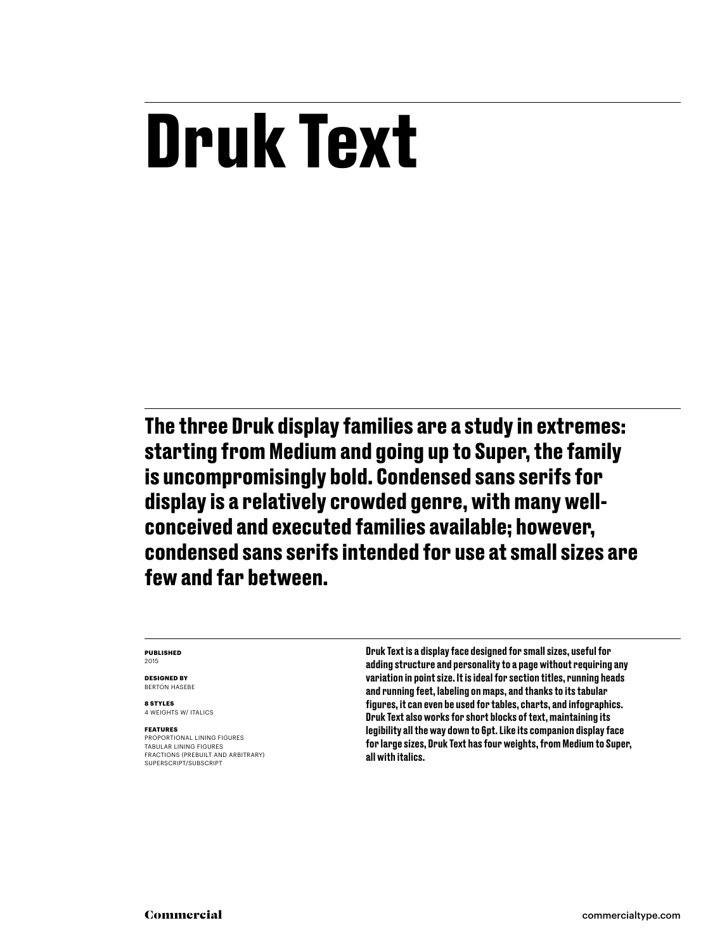# **Druk Text**

**The three Druk display families are a study in extremes: starting from Medium and going up to Super, the family is uncompromisingly bold. Condensed sans serifs for display is a relatively crowded genre, with many wellconceived and executed families available; however, condensed sans serifs intended for use at small sizes are few and far between.**

### **Published** 2015

**Designed by** Berton hasebe

**8 styles** 4 weights w/ ITALICS

### **Features**

PROPORTIONAL LINING FIGUR<br>TABULAR LINING FIGURES FRACTIONS (prebuilt and arbitrary) SUPERSCRIPT/SUBSCRIPT

Druk Text is a display face designed for small sizes, useful for adding structure and personality to a page without requiring any variation in point size. It is ideal for section titles, running heads and running feet, labeling on maps, and thanks to its tabular figures, it can even be used for tables, charts, and infographics. Druk Text also works for short blocks of text, maintaining its legibility all the way down to 6pt. Like its companion display face for large sizes, Druk Text has four weights, from Medium to Super, all with italics.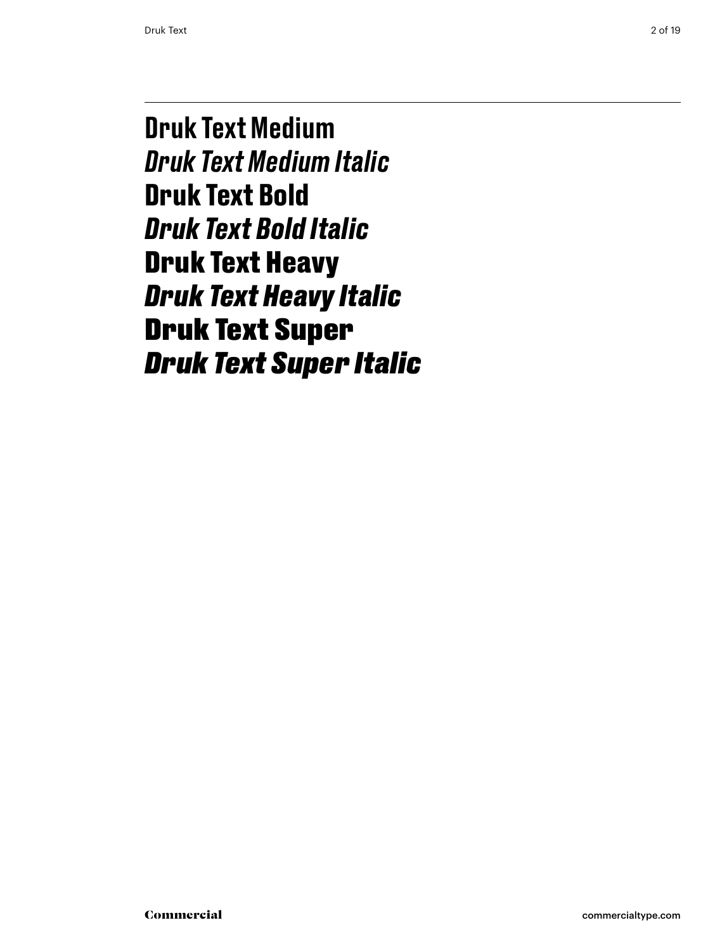Druk Text Medium *Druk Text Medium Italic* **Druk Text Bold** *Druk Text Bold Italic* Druk Text Heavy *Druk Text Heavy Italic* Druk Text Super *Druk Text Super Italic*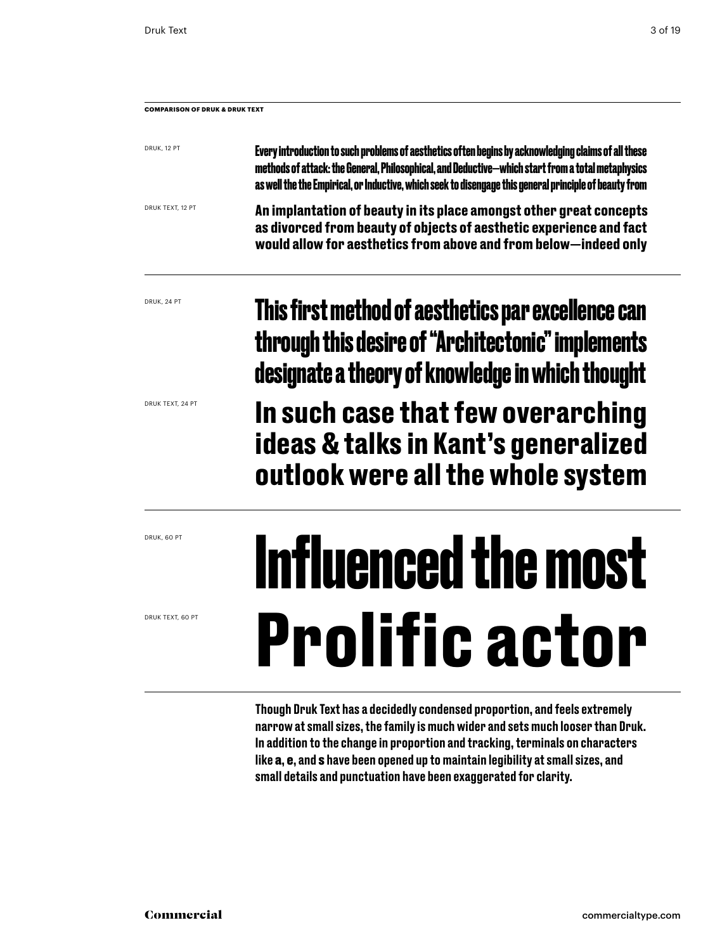| <b>COMPARISON OF DRUK &amp; DRUK TEXT</b> |                                                                                                                                                                                                                                                                                                                     |  |  |  |  |
|-------------------------------------------|---------------------------------------------------------------------------------------------------------------------------------------------------------------------------------------------------------------------------------------------------------------------------------------------------------------------|--|--|--|--|
| DRUK, 12 PT                               | Every introduction to such problems of aesthetics of ten begins by acknowledging claims of all these<br>methods of attack: the General, Philosophical, and Deductive-which start from a total metaphysics<br>as well the the Empirical, or Inductive, which seek to disengage this general principle of beauty from |  |  |  |  |
| DRUK TEXT, 12 PT                          | An implantation of beauty in its place amongst other great concepts<br>as divorced from beauty of objects of aesthetic experience and fact<br>would allow for aesthetics from above and from below-indeed only                                                                                                      |  |  |  |  |
| DRUK, 24 PT                               | This first method of aesthetics par excellence can<br>through this desire of "Architectonic" implements<br>designate a theory of knowledge in which thought                                                                                                                                                         |  |  |  |  |
| DRUK TEXT, 24 PT                          | In cuch coco that fow overanghing                                                                                                                                                                                                                                                                                   |  |  |  |  |

**In such case that few overarching ideas & talks in Kant's generalized outlook were all the whole system**

# **Influenced the most Prolific actor**

Though Druk Text has a decidedly condensed proportion, and feels extremely narrow at small sizes, the family is much wider and sets much looser than Druk. In addition to the change in proportion and tracking, terminals on characters like a, e, and s have been opened up to maintain legibility at small sizes, and small details and punctuation have been exaggerated for clarity.

druk, 60 pt

druk text, 60 pt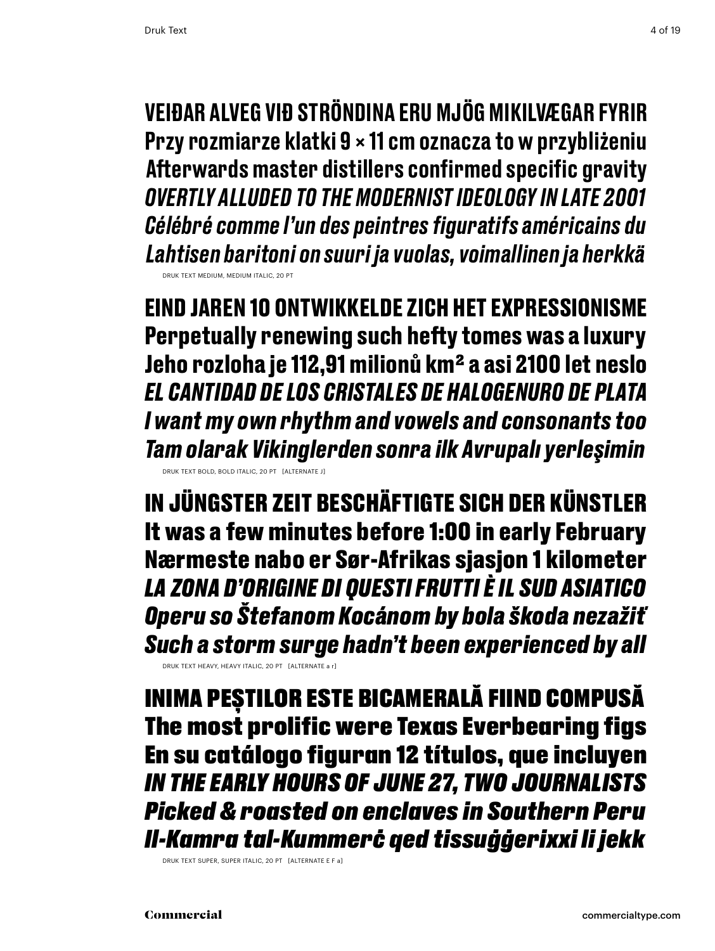Veiðar alveg við ströndina eru mjög mikilvægar fyrir Przy rozmiarze klatki 9 × 11 cm oznacza to w przybliżeniu Afterwards master distillers confirmed specific gravity *overtly alluded to the modernist ideology in late 2001 Célébré comme l'un des peintres figuratifs américains du Lahtisen baritoni on suuri ja vuolas, voimallinen ja herkkä* Druk TEXT medium, medium Italic, 20 PT

**Eind jaren 10 ontwikkelde zich het expressionisme Perpetually renewing such hefty tomes was a luxury Jeho rozloha je 112,91 milionů km2 a asi 2100 let neslo** *El cantidad de los cristales de halogenuro de plata I want my own rhythm and vowels and consonants too Tam olarak Vikinglerden sonra ilk Avrupalı yerleşimin* Druk TEXT bold, bold Italic, 20 PT [alternate j]

In jüngster Zeit beschäftigte sich der Künstler It was a few minutes before 1:00 in early February Nærmeste nabo er Sør-Afrikas sjasjon 1 kilometer *La zona d'origine di questi frutti è il Sud Asiatico Operu so Štefanom Kocánom by bola škoda nezažiť Such a storm surge hadn't been experienced by all*

Druk TEXT heavy, heavy ITALIC, 20 PT [alternate a r]

Inima peștilor este bicamerală fiind compusă The most prolific were Texas Everbearing figs En su catálogo figuran 12 títulos, que incluyen *in the early hours of june 27, two journalists Picked & roasted on enclaves in Southern Peru Il-Kamra tal-Kummerċ qed tissuġġerixxi li jekk*

Druk TEXT super, super italic, 20 PT [alternate E f a]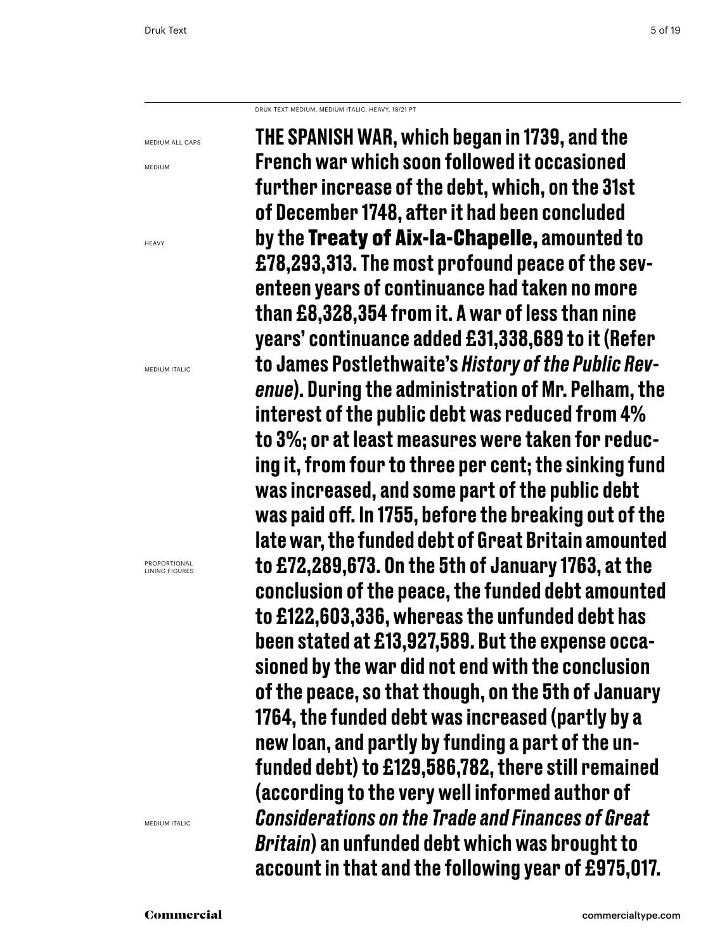Druk Text medium, medium Italic, heavy, 18/21 PT

medium all caps

medium

**HFAVY** 

medium italic

Proportional Lining figures

medium Italic

THE SPANISH WAR, which began in 1739, and the French war which soon followed it occasioned further increase of the debt, which, on the 31st of December 1748, after it had been concluded by the Treaty of Aix-la-Chapelle, amounted to £78,293,313. The most profound peace of the seventeen years of continuance had taken no more than £8,328,354 from it. A war of less than nine years' continuance added £31,338,689 to it (Refer to James Postlethwaite's *History of the Public Revenue*). During the administration of Mr. Pelham, the interest of the public debt was reduced from 4% to 3%; or at least measures were taken for reducing it, from four to three per cent; the sinking fund was increased, and some part of the public debt was paid off. In 1755, before the breaking out of the late war, the funded debt of Great Britain amounted to £72,289,673. On the 5th of January 1763, at the conclusion of the peace, the funded debt amounted to £122,603,336, whereas the unfunded debt has been stated at £13,927,589. But the expense occasioned by the war did not end with the conclusion of the peace, so that though, on the 5th of January 1764, the funded debt was increased (partly by a new loan, and partly by funding a part of the unfunded debt) to £129,586,782, there still remained (according to the very well informed author of *Considerations on the Trade and Finances of Great Britain*) an unfunded debt which was brought to account in that and the following year of £975,017.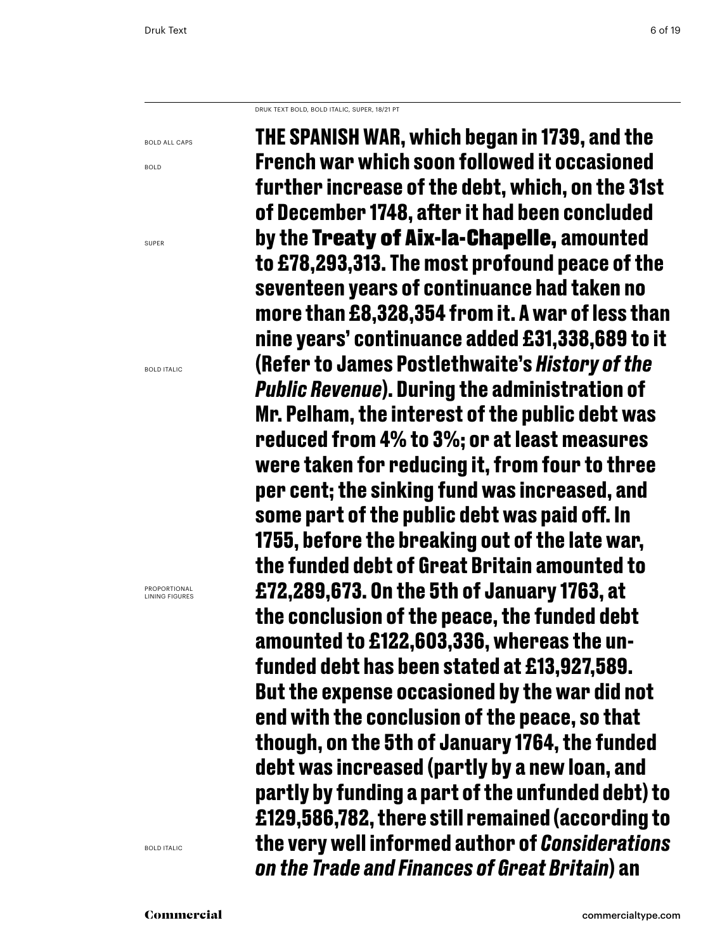Druk Text bold, bold Italic, super, 18/21 PT

bold all caps

bold

super

BOLD ITALIC

Proportional Lining figures

BOLD ITALIC

**The Spanish War, which began in 1739, and the French war which soon followed it occasioned further increase of the debt, which, on the 31st of December 1748, after it had been concluded by the** Treaty of Aix-la-Chapelle, **amounted to £78,293,313. The most profound peace of the seventeen years of continuance had taken no more than £8,328,354 from it. A war of less than nine years' continuance added £31,338,689 to it (Refer to James Postlethwaite's** *History of the Public Revenue***). During the administration of Mr. Pelham, the interest of the public debt was reduced from 4% to 3%; or at least measures were taken for reducing it, from four to three per cent; the sinking fund was increased, and some part of the public debt was paid off. In 1755, before the breaking out of the late war, the funded debt of Great Britain amounted to £72,289,673. On the 5th of January 1763, at the conclusion of the peace, the funded debt amounted to £122,603,336, whereas the unfunded debt has been stated at £13,927,589. But the expense occasioned by the war did not end with the conclusion of the peace, so that though, on the 5th of January 1764, the funded debt was increased (partly by a new loan, and partly by funding a part of the unfunded debt) to £129,586,782, there still remained (according to the very well informed author of** *Considerations on the Trade and Finances of Great Britain***) an**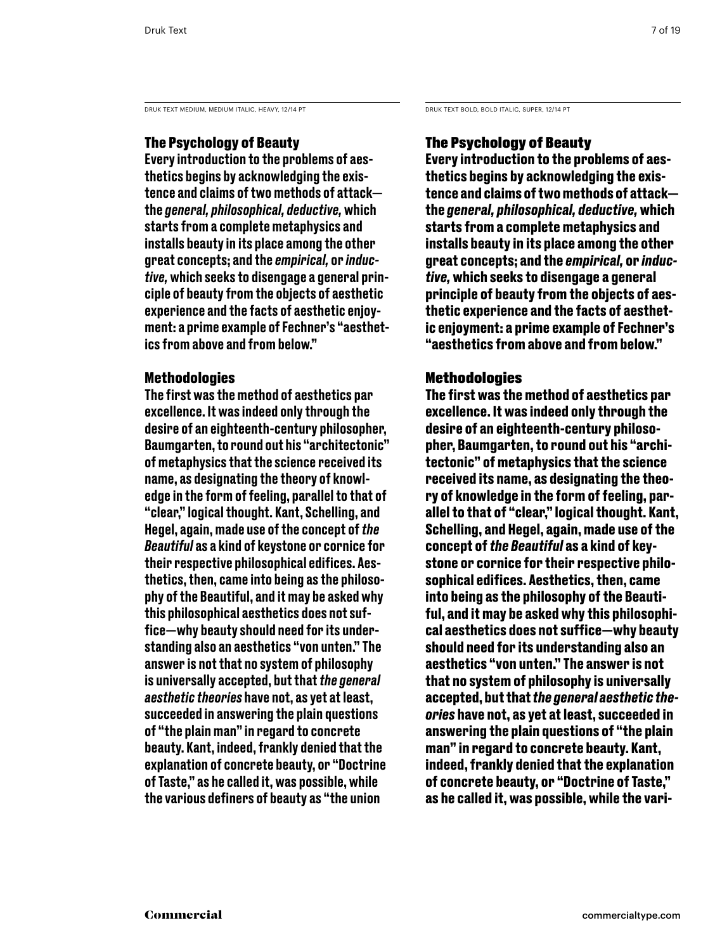DRUK TEXT MEDIUM, MEDIUM ITALIC, HEAVY, 12/14 PT DRUK TEXT BOLD, BOLD ITALIC, SUPER, 12/14 PT

# The Psychology of Beauty

Every introduction to the problems of aesthetics begins by acknowledging the existence and claims of two methods of attack the *general, philosophical, deductive,* which starts from a complete metaphysics and installs beauty in its place among the other great concepts; and the *empirical,* or *inductive,* which seeks to disengage a general principle of beauty from the objects of aesthetic experience and the facts of aesthetic enjoyment: a prime example of Fechner's "aesthetics from above and from below."

# Methodologies

The first was the method of aesthetics par excellence. It was indeed only through the desire of an eighteenth-century philosopher, Baumgarten, to round out his "architectonic" of metaphysics that the science received its name, as designating the theory of knowledge in the form of feeling, parallel to that of "clear," logical thought. Kant, Schelling, and Hegel, again, made use of the concept of *the Beautiful* as a kind of keystone or cornice for their respective philosophical edifices. Aesthetics, then, came into being as the philosophy of the Beautiful, and it may be asked why this philosophical aesthetics does not suffice—why beauty should need for its understanding also an aesthetics "von unten." The answer is not that no system of philosophy is universally accepted, but that *the general aesthetic theories* have not, as yet at least, succeeded in answering the plain questions of "the plain man" in regard to concrete beauty. Kant, indeed, frankly denied that the explanation of concrete beauty, or "Doctrine of Taste," as he called it, was possible, while the various definers of beauty as "the union

# The Psychology of Beauty

**Every introduction to the problems of aesthetics begins by acknowledging the existence and claims of two methods of attack the** *general, philosophical, deductive,* **which starts from a complete metaphysics and installs beauty in its place among the other great concepts; and the** *empirical,* **or** *inductive,* **which seeks to disengage a general principle of beauty from the objects of aesthetic experience and the facts of aesthetic enjoyment: a prime example of Fechner's "aesthetics from above and from below."** 

# **Methodologies**

**The first was the method of aesthetics par excellence. It was indeed only through the desire of an eighteenth-century philosopher, Baumgarten, to round out his "architectonic" of metaphysics that the science received its name, as designating the theory of knowledge in the form of feeling, parallel to that of "clear," logical thought. Kant, Schelling, and Hegel, again, made use of the concept of** *the Beautiful* **as a kind of keystone or cornice for their respective philosophical edifices. Aesthetics, then, came into being as the philosophy of the Beautiful, and it may be asked why this philosophical aesthetics does not suffice—why beauty should need for its understanding also an aesthetics "von unten." The answer is not that no system of philosophy is universally accepted, but that***the general aesthetic theories* **have not, as yet at least, succeeded in answering the plain questions of "the plain man" in regard to concrete beauty. Kant, indeed, frankly denied that the explanation of concrete beauty, or "Doctrine of Taste," as he called it, was possible, while the vari-**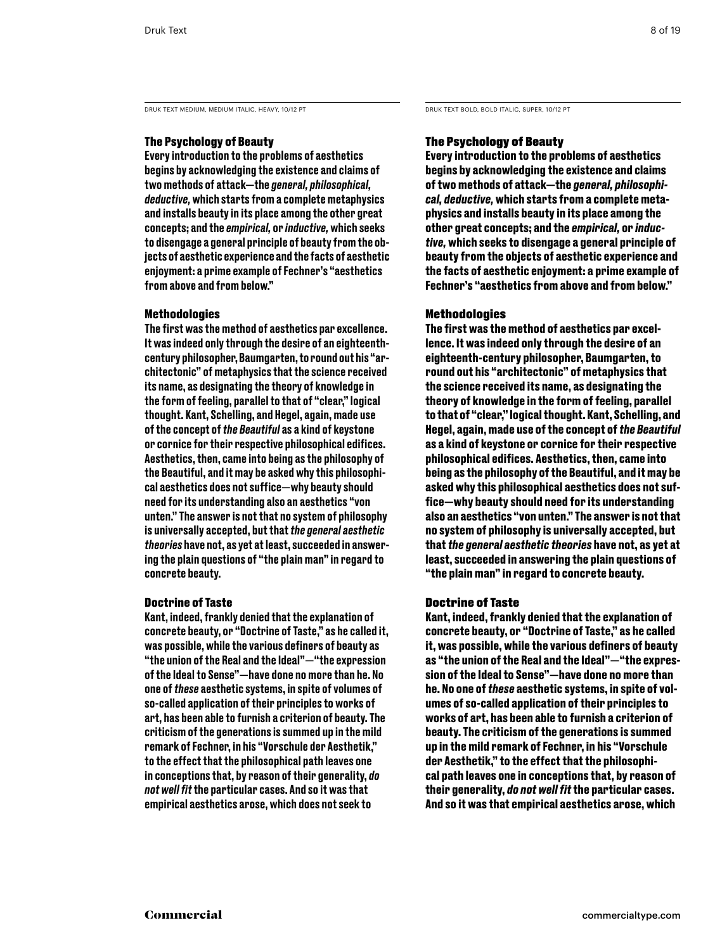DRUK TEXT MEDIUM, MEDIUM ITALIC, HEAVY, 10/12 PT DRUK TEXT BOLD, BOLD ITALIC, SUPER, 10/12 PT

# The Psychology of Beauty

Every introduction to the problems of aesthetics begins by acknowledging the existence and claims of two methods of attack—the *general, philosophical, deductive,* which starts from a complete metaphysics and installs beauty in its place among the other great concepts; and the *empirical,* or *inductive,* which seeks to disengage a general principle of beauty from the objects of aesthetic experience and the facts of aesthetic enjoyment: a prime example of Fechner's "aesthetics from above and from below."

# Methodologies

The first was the method of aesthetics par excellence. It was indeed only through the desire of an eighteenthcentury philosopher, Baumgarten, to round out his "architectonic" of metaphysics that the science received its name, as designating the theory of knowledge in the form of feeling, parallel to that of "clear," logical thought. Kant, Schelling, and Hegel, again, made use of the concept of *the Beautiful* as a kind of keystone or cornice for their respective philosophical edifices. Aesthetics, then, came into being as the philosophy of the Beautiful, and it may be asked why this philosophical aesthetics does not suffice—why beauty should need for its understanding also an aesthetics "von unten." The answer is not that no system of philosophy is universally accepted, but that *the general aesthetic theories* have not, as yet at least, succeeded in answering the plain questions of "the plain man" in regard to concrete beauty.

# Doctrine of Taste

Kant, indeed, frankly denied that the explanation of concrete beauty, or "Doctrine of Taste," as he called it, was possible, while the various definers of beauty as "the union of the Real and the Ideal"—"the expression of the Ideal to Sense"—have done no more than he. No one of *these* aesthetic systems, in spite of volumes of so-called application of their principles to works of art, has been able to furnish a criterion of beauty. The criticism of the generations is summed up in the mild remark of Fechner, in his "Vorschule der Aesthetik," to the effect that the philosophical path leaves one in conceptions that, by reason of their generality, *do not well fit* the particular cases. And so it was that empirical aesthetics arose, which does not seek to

# The Psychology of Beauty

**Every introduction to the problems of aesthetics begins by acknowledging the existence and claims of two methods of attack—the** *general, philosophical, deductive,* **which starts from a complete metaphysics and installs beauty in its place among the other great concepts; and the** *empirical,* **or** *inductive,* **which seeks to disengage a general principle of beauty from the objects of aesthetic experience and the facts of aesthetic enjoyment: a prime example of Fechner's "aesthetics from above and from below."** 

# Methodologies

**The first was the method of aesthetics par excellence. It was indeed only through the desire of an eighteenth-century philosopher, Baumgarten, to round out his "architectonic" of metaphysics that the science received its name, as designating the theory of knowledge in the form of feeling, parallel to that of "clear," logical thought. Kant, Schelling, and Hegel, again, made use of the concept of** *the Beautiful*  **as a kind of keystone or cornice for their respective philosophical edifices. Aesthetics, then, came into being as the philosophy of the Beautiful, and it may be asked why this philosophical aesthetics does not suffice—why beauty should need for its understanding also an aesthetics "von unten." The answer is not that no system of philosophy is universally accepted, but that** *the general aesthetic theories* **have not, as yet at least, succeeded in answering the plain questions of "the plain man" in regard to concrete beauty.** 

# Doctrine of Taste

**Kant, indeed, frankly denied that the explanation of concrete beauty, or "Doctrine of Taste," as he called it, was possible, while the various definers of beauty as "the union of the Real and the Ideal"—"the expression of the Ideal to Sense"—have done no more than he. No one of** *these* **aesthetic systems, in spite of volumes of so-called application of their principles to works of art, has been able to furnish a criterion of beauty. The criticism of the generations is summed up in the mild remark of Fechner, in his "Vorschule der Aesthetik," to the effect that the philosophical path leaves one in conceptions that, by reason of their generality,** *do not well fit* **the particular cases. And so it was that empirical aesthetics arose, which**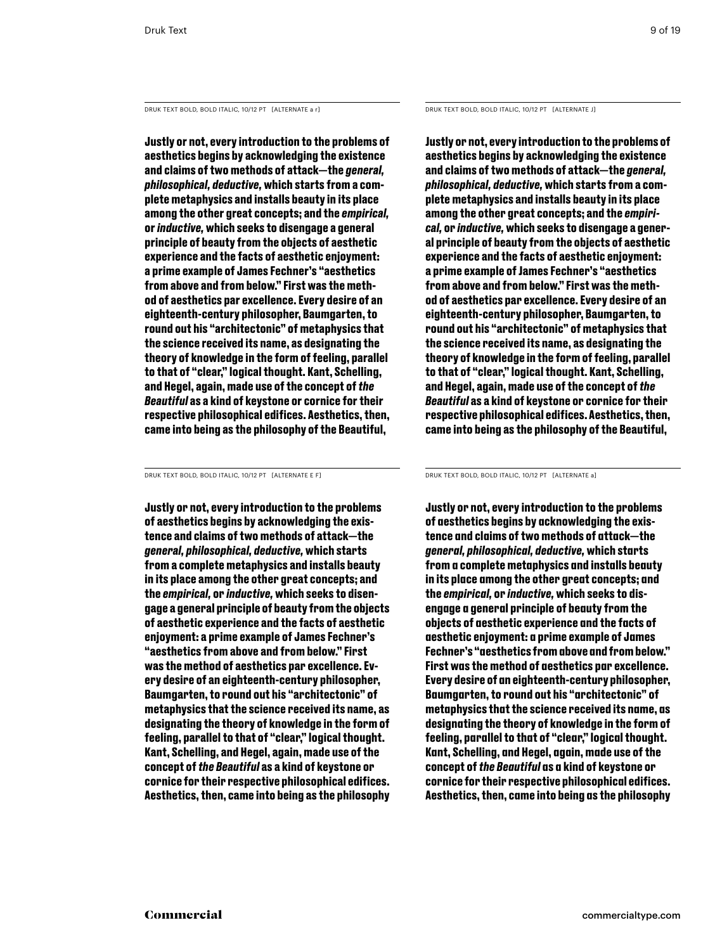DRUK TEXT BOLD, BOLD ITALIC, 10/12 PT [ALTERNATE a r] DRUK TEXT BOLD, BOLD ITALIC, 10/12 PT [ALTERNATE J]

**Justly or not, every introduction to the problems of aesthetics begins by acknowledging the existence and claims of two methods of attack—the** *general, philosophical, deductive,* **which starts from a complete metaphysics and installs beauty in its place among the other great concepts; and the** *empirical,*  **or** *inductive,* **which seeks to disengage a general principle of beauty from the objects of aesthetic experience and the facts of aesthetic enjoyment: a prime example of James Fechner's "aesthetics from above and from below." First was the method of aesthetics par excellence. Every desire of an eighteenth-century philosopher, Baumgarten, to round out his "architectonic" of metaphysics that the science received its name, as designating the theory of knowledge in the form of feeling, parallel to that of "clear," logical thought. Kant, Schelling, and Hegel, again, made use of the concept of** *the Beautiful* **as a kind of keystone or cornice for their respective philosophical edifices. Aesthetics, then, came into being as the philosophy of the Beautiful,** 

Druk Text Bold, Bold italic, 10/12 PT [alternate e f] Druk Text Bold, Bold italic, 10/12 PT [alternate a]

**Justly or not, every introduction to the problems of aesthetics begins by acknowledging the existence and claims of two methods of attack—the** *general, philosophical, deductive,* **which starts from a complete metaphysics and installs beauty in its place among the other great concepts; and the** *empirical,* **or** *inductive,* **which seeks to disengage a general principle of beauty from the objects of aesthetic experience and the facts of aesthetic enjoyment: a prime example of James Fechner's "aesthetics from above and from below." First was the method of aesthetics par excellence. Every desire of an eighteenth-century philosopher, Baumgarten, to round out his "architectonic" of metaphysics that the science received its name, as designating the theory of knowledge in the form of feeling, parallel to that of "clear," logical thought. Kant, Schelling, and Hegel, again, made use of the concept of** *the Beautiful* **as a kind of keystone or cornice for their respective philosophical edifices. Aesthetics, then, came into being as the philosophy** 

**Justly or not, every introduction to the problems of aesthetics begins by acknowledging the existence and claims of two methods of attack—the** *general, philosophical, deductive,* **which starts from a complete metaphysics and installs beauty in its place among the other great concepts; and the** *empirical,* **or** *inductive,* **which seeks to disengage a general principle of beauty from the objects of aesthetic experience and the facts of aesthetic enjoyment: a prime example of James Fechner's "aesthetics from above and from below." First was the method of aesthetics par excellence. Every desire of an eighteenth-century philosopher, Baumgarten, to round out his "architectonic" of metaphysics that the science received its name, as designating the theory of knowledge in the form of feeling, parallel to that of "clear," logical thought. Kant, Schelling, and Hegel, again, made use of the concept of** *the Beautiful* **as a kind of keystone or cornice for their respective philosophical edifices. Aesthetics, then, came into being as the philosophy of the Beautiful,** 

**Justly or not, every introduction to the problems of aesthetics begins by acknowledging the existence and claims of two methods of attack—the** *general, philosophical, deductive,* **which starts from a complete metaphysics and installs beauty in its place among the other great concepts; and the** *empirical,* **or** *inductive,* **which seeks to disengage a general principle of beauty from the objects of aesthetic experience and the facts of aesthetic enjoyment: a prime example of James Fechner's "aesthetics from above and from below." First was the method of aesthetics par excellence. Every desire of an eighteenth-century philosopher, Baumgarten, to round out his "architectonic" of metaphysics that the science received its name, as designating the theory of knowledge in the form of feeling, parallel to that of "clear," logical thought. Kant, Schelling, and Hegel, again, made use of the concept of** *the Beautiful* **as a kind of keystone or cornice for their respective philosophical edifices. Aesthetics, then, came into being as the philosophy**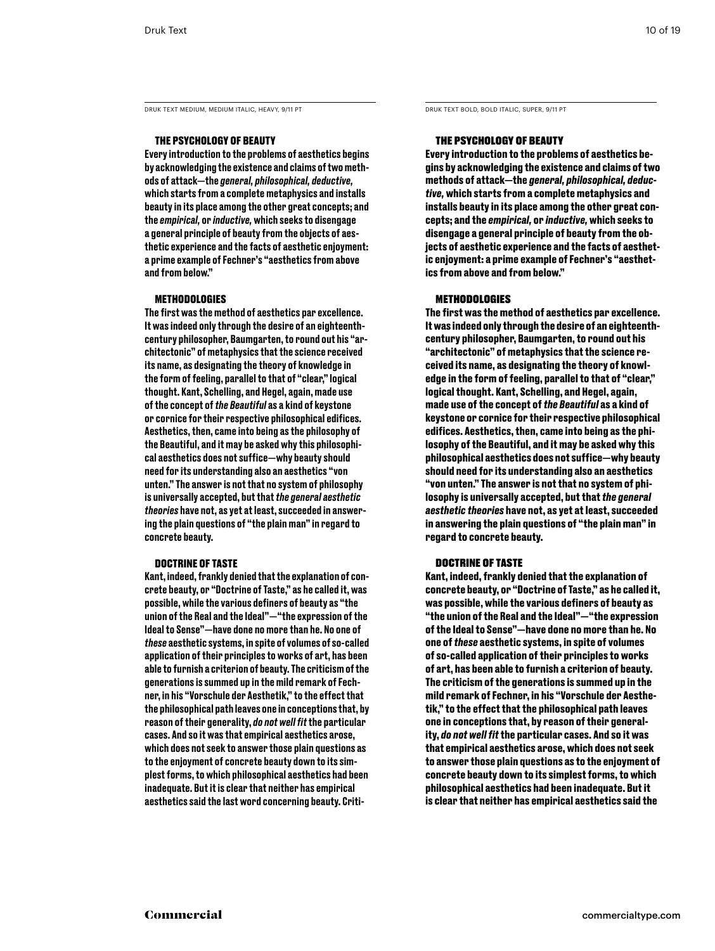DRUK TEXT MEDIUM, MEDIUM ITALIC, HEAVY, 9/11 PT DRUK TEXT BOLD, BOLD ITALIC, SUPER, 9/11 PT

# The Psychology of Beauty

Every introduction to the problems of aesthetics begins by acknowledging the existence and claims of two methods of attack—the *general, philosophical, deductive,*  which starts from a complete metaphysics and installs beauty in its place among the other great concepts; and the *empirical,* or *inductive,* which seeks to disengage a general principle of beauty from the objects of aesthetic experience and the facts of aesthetic enjoyment: a prime example of Fechner's "aesthetics from above and from below."

### Methodologies

The first was the method of aesthetics par excellence. It was indeed only through the desire of an eighteenthcentury philosopher, Baumgarten, to round out his "architectonic" of metaphysics that the science received its name, as designating the theory of knowledge in the form of feeling, parallel to that of "clear," logical thought. Kant, Schelling, and Hegel, again, made use of the concept of *the Beautiful* as a kind of keystone or cornice for their respective philosophical edifices. Aesthetics, then, came into being as the philosophy of the Beautiful, and it may be asked why this philosophical aesthetics does not suffice—why beauty should need for its understanding also an aesthetics "von unten." The answer is not that no system of philosophy is universally accepted, but that *the general aesthetic theories* have not, as yet at least, succeeded in answering the plain questions of "the plain man" in regard to concrete beauty.

### Doctrine of Taste

Kant, indeed, frankly denied that the explanation of concrete beauty, or "Doctrine of Taste," as he called it, was possible, while the various definers of beauty as "the union of the Real and the Ideal"—"the expression of the Ideal to Sense"—have done no more than he. No one of *these* aesthetic systems, in spite of volumes of so-called application of their principles to works of art, has been able to furnish a criterion of beauty. The criticism of the generations is summed up in the mild remark of Fechner, in his "Vorschule der Aesthetik," to the effect that the philosophical path leaves one in conceptions that, by reason of their generality, *do not well fit* the particular cases. And so it was that empirical aesthetics arose, which does not seek to answer those plain questions as to the enjoyment of concrete beauty down to its simplest forms, to which philosophical aesthetics had been inadequate. But it is clear that neither has empirical aesthetics said the last word concerning beauty. Criti-

# The Psychology of Beauty

**Every introduction to the problems of aesthetics begins by acknowledging the existence and claims of two methods of attack—the** *general, philosophical, deductive,* **which starts from a complete metaphysics and installs beauty in its place among the other great concepts; and the** *empirical,* **or** *inductive,* **which seeks to disengage a general principle of beauty from the objects of aesthetic experience and the facts of aesthetic enjoyment: a prime example of Fechner's "aesthetics from above and from below."** 

## Methodologies

**The first was the method of aesthetics par excellence. It was indeed only through the desire of an eighteenthcentury philosopher, Baumgarten, to round out his "architectonic" of metaphysics that the science received its name, as designating the theory of knowledge in the form of feeling, parallel to that of "clear," logical thought. Kant, Schelling, and Hegel, again, made use of the concept of** *the Beautiful* **as a kind of keystone or cornice for their respective philosophical edifices. Aesthetics, then, came into being as the philosophy of the Beautiful, and it may be asked why this philosophical aesthetics does not suffice—why beauty should need for its understanding also an aesthetics "von unten." The answer is not that no system of philosophy is universally accepted, but that** *the general aesthetic theories* **have not, as yet at least, succeeded in answering the plain questions of "the plain man" in regard to concrete beauty.** 

# Doctrine of Taste

**Kant, indeed, frankly denied that the explanation of concrete beauty, or "Doctrine of Taste," as he called it, was possible, while the various definers of beauty as "the union of the Real and the Ideal"—"the expression of the Ideal to Sense"—have done no more than he. No one of** *these* **aesthetic systems, in spite of volumes of so-called application of their principles to works of art, has been able to furnish a criterion of beauty. The criticism of the generations is summed up in the mild remark of Fechner, in his "Vorschule der Aesthetik," to the effect that the philosophical path leaves one in conceptions that, by reason of their generality,** *do not well fit* **the particular cases. And so it was that empirical aesthetics arose, which does not seek to answer those plain questions as to the enjoyment of concrete beauty down to its simplest forms, to which philosophical aesthetics had been inadequate. But it is clear that neither has empirical aesthetics said the**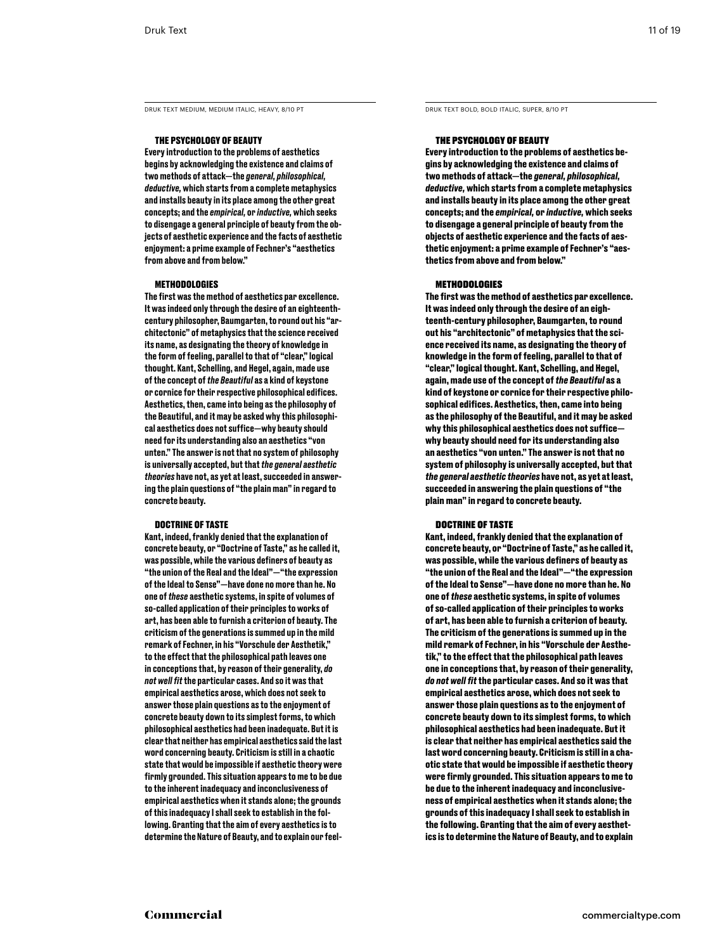DRUK TEXT MEDIUM, MEDIUM ITALIC, HEAVY, 8/10 PT DRUK TEXT BOLD, BOLD ITALIC, SUPER, 8/10 PT

### The Psychology of Beauty

Every introduction to the problems of aesthetics begins by acknowledging the existence and claims of two methods of attack—the *general, philosophical, deductive,* which starts from a complete metaphysics and installs beauty in its place among the other great concepts; and the *empirical,* or *inductive,* which seeks to disengage a general principle of beauty from the objects of aesthetic experience and the facts of aesthetic enjoyment: a prime example of Fechner's "aesthetics from above and from below."

### Methodologies

The first was the method of aesthetics par excellence. It was indeed only through the desire of an eighteenthcentury philosopher, Baumgarten, to round out his "architectonic" of metaphysics that the science received its name, as designating the theory of knowledge in the form of feeling, parallel to that of "clear," logical thought. Kant, Schelling, and Hegel, again, made use of the concept of *the Beautiful* as a kind of keystone or cornice for their respective philosophical edifices. Aesthetics, then, came into being as the philosophy of the Beautiful, and it may be asked why this philosophical aesthetics does not suffice—why beauty should need for its understanding also an aesthetics "von unten." The answer is not that no system of philosophy is universally accepted, but that *the general aesthetic theories* have not, as yet at least, succeeded in answering the plain questions of "the plain man" in regard to concrete beauty.

### Doctrine of Taste

Kant, indeed, frankly denied that the explanation of concrete beauty, or "Doctrine of Taste," as he called it, was possible, while the various definers of beauty as "the union of the Real and the Ideal"—"the expression of the Ideal to Sense"—have done no more than he. No one of *these* aesthetic systems, in spite of volumes of so-called application of their principles to works of art, has been able to furnish a criterion of beauty. The criticism of the generations is summed up in the mild remark of Fechner, in his "Vorschule der Aesthetik," to the effect that the philosophical path leaves one in conceptions that, by reason of their generality, *do not well fit* the particular cases. And so it was that empirical aesthetics arose, which does not seek to answer those plain questions as to the enjoyment of concrete beauty down to its simplest forms, to which philosophical aesthetics had been inadequate. But it is clear that neither has empirical aesthetics said the last word concerning beauty. Criticism is still in a chaotic state that would be impossible if aesthetic theory were firmly grounded. This situation appears to me to be due to the inherent inadequacy and inconclusiveness of empirical aesthetics when it stands alone; the grounds of this inadequacy I shall seek to establish in the following. Granting that the aim of every aesthetics is to determine the Nature of Beauty, and to explain our feel-

### The Psychology of Beauty

**Every introduction to the problems of aesthetics begins by acknowledging the existence and claims of two methods of attack—the** *general, philosophical, deductive,* **which starts from a complete metaphysics and installs beauty in its place among the other great concepts; and the** *empirical,* **or** *inductive,* **which seeks to disengage a general principle of beauty from the objects of aesthetic experience and the facts of aesthetic enjoyment: a prime example of Fechner's "aesthetics from above and from below."** 

### Methodologies

**The first was the method of aesthetics par excellence. It was indeed only through the desire of an eighteenth-century philosopher, Baumgarten, to round out his "architectonic" of metaphysics that the science received its name, as designating the theory of knowledge in the form of feeling, parallel to that of "clear," logical thought. Kant, Schelling, and Hegel, again, made use of the concept of** *the Beautiful* **as a kind of keystone or cornice for their respective philosophical edifices. Aesthetics, then, came into being as the philosophy of the Beautiful, and it may be asked why this philosophical aesthetics does not suffice why beauty should need for its understanding also an aesthetics "von unten." The answer is not that no system of philosophy is universally accepted, but that** *the general aesthetic theories* **have not, as yet at least, succeeded in answering the plain questions of "the plain man" in regard to concrete beauty.** 

### Doctrine of Taste

**Kant, indeed, frankly denied that the explanation of concrete beauty, or "Doctrine of Taste," as he called it, was possible, while the various definers of beauty as "the union of the Real and the Ideal"—"the expression of the Ideal to Sense"—have done no more than he. No one of** *these* **aesthetic systems, in spite of volumes of so-called application of their principles to works of art, has been able to furnish a criterion of beauty. The criticism of the generations is summed up in the mild remark of Fechner, in his "Vorschule der Aesthetik," to the effect that the philosophical path leaves one in conceptions that, by reason of their generality,**  *do not well fit* **the particular cases. And so it was that empirical aesthetics arose, which does not seek to answer those plain questions as to the enjoyment of concrete beauty down to its simplest forms, to which philosophical aesthetics had been inadequate. But it is clear that neither has empirical aesthetics said the last word concerning beauty. Criticism is still in a chaotic state that would be impossible if aesthetic theory were firmly grounded. This situation appears to me to be due to the inherent inadequacy and inconclusiveness of empirical aesthetics when it stands alone; the grounds of this inadequacy I shall seek to establish in the following. Granting that the aim of every aesthetics is to determine the Nature of Beauty, and to explain**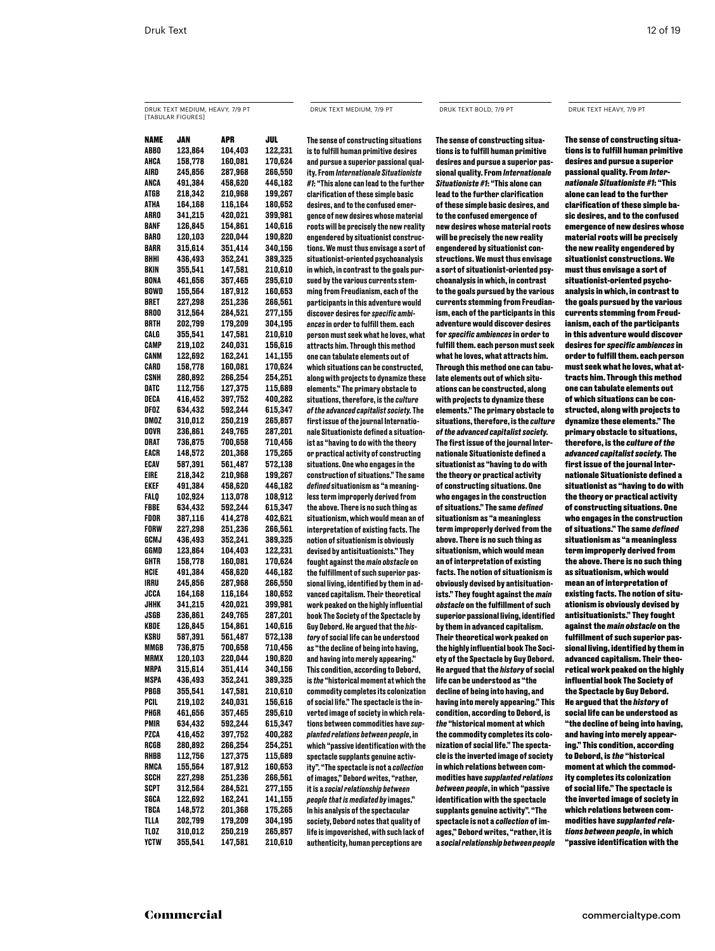# Druk Text medium, heavy, 7/9 PT [tabular figures]

name JAN apr jul ABBO 123,864 104,403 122,231 ahca 158,778 160,081 170,624 245,856 287,968 266,550 ANCA 491,384 458,620 446,182 ATGB 218,342 210,968 199,267 ATHA 164,168 116,164 180,652 ARRO 341,215 420,021 399,981 BANF 126,845 154,861 140,616 BARO 120,103 220,044 190,820 BARR 315,614 351,414 340,156 Bhhi 436,493 352,241 389,325 BKIN 355,541 147,581 210,610 BONA 461,656 357,465 295,610 BOWD 155,564 187,912 160,653 BRET 227,298 251,236 266,561 BROO 312,564 284,521 277,155 Brth 202,799 179,209 304,195 CALG 355,541 147,581 210,610 CAMP 219,102 240,031 156,616 CANM 122,692 162,241 141,155 CARD 158,778 160,081 170,624 Csnh 280,892 266,254 254,251 DATC 112,756 127,375 115,689 DECA 416,452 397,752 400,282 dfoz 634,432 592,244 615,347 dmoz 310,012 250,219 265,857 DOVR 236,861 249,765 287,201 DRAT 736,875 700,658 710,456 EACR 148,572 201,368 175,265 ecav 587,391 561,487 572,138 eire 218,342 210,968 199,267 ekef 491,384 458,620 446,182 falq 102,924 113,078 108,912 fbBE 634,432 592,244 615,347 fdor 387,116 414,278 402,621 Forw 227,298 251,236 266,561 gcmj 436,493 352,241 389,325 ggMD 123,864 104,403 122,231 GHTR 158,778 160,081 170,624 HCIE 491,384 458,620 446,182 IRRU 245,856 287,968 266,550 JCCA 164,168 116,164 180,652 JHHK 341,215 420,021 399,981 JSGB 236,861 249,765 287,201 KBDE 126,845 154,861 140,616 KSRU 587,391 561,487 572,138 736,875 700,658 710,456 MRMX 120,103 220,044 190,820 MRPA 315,614 351,414 340,156 MSPA 436,493 352,241 389,325 PBGB 355,541 147,581 210,610 PCIL 219,102 240,031 156,616 PHGR 461,656 357,465 295,610 PMIR 634,432 592,244 615,347 PZCA 416,452 397,752 400,282 RCGB 280,892 266,254 254,251 RHBB 112,756 127,375 115,689 RMCA 155,564 187,912 160,653 SCCH 227,298 251,236 266,561 SCPT 312,564 284,521 277,155 SGCA 122,692 162,241 141,155 TBCA 148,572 201,368 175,265 TLLA 202,799 179,209 304,195 TLOZ 310,012 250,219 265,857 YCTW 355,541 147,581 210,610

The sense of constructing situations is to fulfill human primitive desires and pursue a superior passional quality. From *Internationale Situationiste #1*: "This alone can lead to the further clarification of these simple basic desires, and to the confused emergence of new desires whose material roots will be precisely the new reality engendered by situationist constructions. We must thus envisage a sort of situationist-oriented psychoanalysis in which, in contrast to the goals pursued by the various currents stemming from Freudianism, each of the participants in this adventure would discover desires for *specific ambiences* in order to fulfill them. each person must seek what he loves, what attracts him. Through this method one can tabulate elements out of which situations can be constructed, along with projects to dynamize these elements." The primary obstacle to situations, therefore, is the *culture of the advanced capitalist society.* The first issue of the journal Internationale Situationiste defined a situationist as "having to do with the theory or practical activity of constructing situations. One who engages in the construction of situations." The same *defined* situationism as "a meaningless term improperly derived from the above. There is no such thing as situationism, which would mean an of interpretation of existing facts. The notion of situationism is obviously devised by antisituationists." They fought against the *main obstacle* on the fulfillment of such superior passional living, identified by them in advanced capitalism. Their theoretical work peaked on the highly influential book The Society of the Spectacle by Guy Debord. He argued that the *history* of social life can be understood as "the decline of being into having, and having into merely appearing." This condition, according to Debord, is *the* "historical moment at which the commodity completes its colonization of social life." The spectacle is the inverted image of society in which relations between commodities have *supplanted relations between people*, in which "passive identification with the spectacle supplants genuine activity". "The spectacle is not a *collection* of images," Debord writes, "rather, it is a *social relationship between people that is mediated by* images." In his analysis of the spectacular society, Debord notes that quality of life is impoverished, with such lack of authenticity, human perceptions are

**The sense of constructing situations is to fulfill human primitive desires and pursue a superior passional quality. From** *Internationale Situationiste #1***: "This alone can lead to the further clarification of these simple basic desires, and to the confused emergence of new desires whose material roots will be precisely the new reality engendered by situationist constructions. We must thus envisage a sort of situationist-oriented psychoanalysis in which, in contrast to the goals pursued by the various currents stemming from Freudianism, each of the participants in this adventure would discover desires for** *specific ambiences* **in order to fulfill them. each person must seek what he loves, what attracts him. Through this method one can tabulate elements out of which situations can be constructed, along with projects to dynamize these elements." The primary obstacle to situations, therefore, is the** *culture of the advanced capitalist society.* **The first issue of the journal Internationale Situationiste defined a situationist as "having to do with the theory or practical activity of constructing situations. One who engages in the construction of situations." The same** *defined*  **situationism as "a meaningless term improperly derived from the above. There is no such thing as situationism, which would mean an of interpretation of existing facts. The notion of situationism is obviously devised by antisituationists." They fought against the** *main obstacle* **on the fulfillment of such superior passional living, identified by them in advanced capitalism. Their theoretical work peaked on the highly influential book The Society of the Spectacle by Guy Debord. He argued that the** *history* **of social life can be understood as "the decline of being into having, and having into merely appearing." This condition, according to Debord, is**  *the* **"historical moment at which the commodity completes its colonization of social life." The spectacle is the inverted image of society in which relations between commodities have** *supplanted relations between people***, in which "passive identification with the spectacle supplants genuine activity". "The spectacle is not a** *collection* **of images," Debord writes, "rather, it is a** *social relationship between people* 

### Druk Text medium, 7/9 PT Druk Text bold, 7/9 PT Druk Text heavy, 7/9 PT

The sense of constructing situations is to fulfill human primitive desires and pursue a superior passional quality. From *Internationale Situationiste #1*: "This alone can lead to the further clarification of these simple basic desires, and to the confused emergence of new desires whose material roots will be precisely the new reality engendered by situationist constructions. We must thus envisage a sort of situationist-oriented psychoanalysis in which, in contrast to the goals pursued by the various currents stemming from Freudianism, each of the participants in this adventure would discover desires for *specific ambiences* in order to fulfill them. each person must seek what he loves, what attracts him. Through this method one can tabulate elements out of which situations can be constructed, along with projects to dynamize these elements." The primary obstacle to situations, therefore, is the *culture of the advanced capitalist society.* The first issue of the journal Internationale Situationiste defined a situationist as "having to do with the theory or practical activity of constructing situations. One who engages in the construction of situations." The same *defined*  situationism as "a meaningless term improperly derived from the above. There is no such thing as situationism, which would mean an of interpretation of existing facts. The notion of situationism is obviously devised by antisituationists." They fought against the *main obstacle* on the fulfillment of such superior passional living, identified by them in advanced capitalism. Their theoretical work peaked on the highly influential book The Society of the Spectacle by Guy Debord. He argued that the *history* of social life can be understood as "the decline of being into having, and having into merely appearing." This condition, according to Debord, is *the* "historical moment at which the commodity completes its colonization of social life." The spectacle is the inverted image of society in which relations between commodities have *supplanted relations between people*, in which "passive identification with the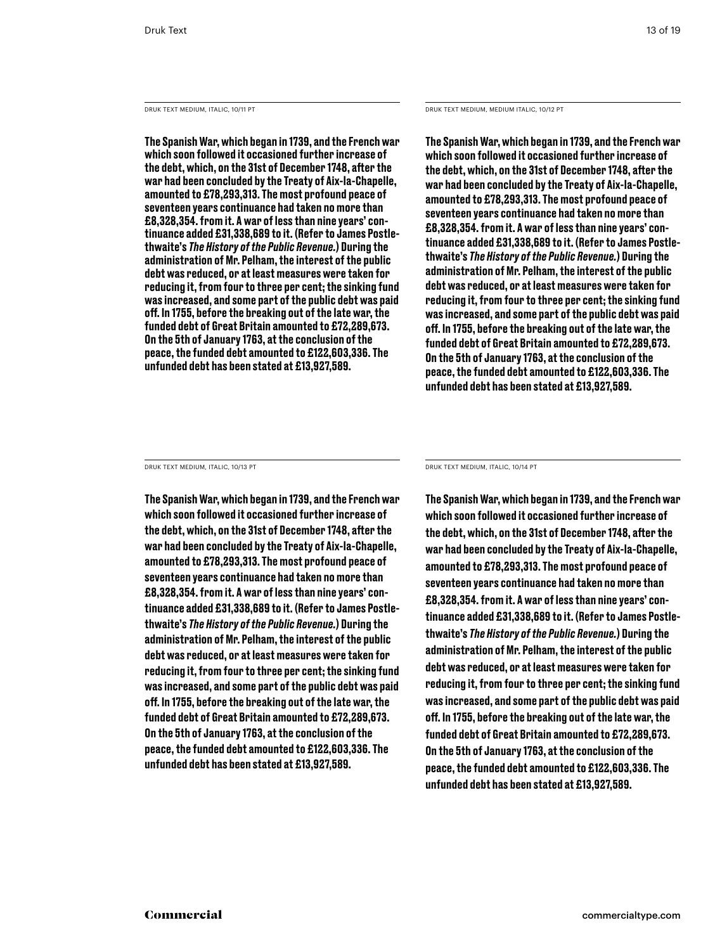Druk Text Medium, italic, 10/11 PT

The Spanish War, which began in 1739, and the French war which soon followed it occasioned further increase of the debt, which, on the 31st of December 1748, after the war had been concluded by the Treaty of Aix-la-Chapelle, amounted to £78,293,313. The most profound peace of seventeen years continuance had taken no more than £8,328,354. from it. A war of less than nine years' continuance added £31,338,689 to it. (Refer to James Postlethwaite's *The History of the Public Revenue.*) During the administration of Mr. Pelham, the interest of the public debt was reduced, or at least measures were taken for reducing it, from four to three per cent; the sinking fund was increased, and some part of the public debt was paid off. In 1755, before the breaking out of the late war, the funded debt of Great Britain amounted to £72,289,673. On the 5th of January 1763, at the conclusion of the peace, the funded debt amounted to £122,603,336. The unfunded debt has been stated at £13,927,589.

### Druk Text Medium, medium italic, 10/12 PT

The Spanish War, which began in 1739, and the French war which soon followed it occasioned further increase of the debt, which, on the 31st of December 1748, after the war had been concluded by the Treaty of Aix-la-Chapelle, amounted to £78,293,313. The most profound peace of seventeen years continuance had taken no more than £8,328,354. from it. A war of less than nine years' continuance added £31,338,689 to it. (Refer to James Postlethwaite's *The History of the Public Revenue.*) During the administration of Mr. Pelham, the interest of the public debt was reduced, or at least measures were taken for reducing it, from four to three per cent; the sinking fund was increased, and some part of the public debt was paid off. In 1755, before the breaking out of the late war, the funded debt of Great Britain amounted to £72,289,673. On the 5th of January 1763, at the conclusion of the peace, the funded debt amounted to £122,603,336. The unfunded debt has been stated at £13,927,589.

Druk Text Medium, italic, 10/13 PT

The Spanish War, which began in 1739, and the French war which soon followed it occasioned further increase of the debt, which, on the 31st of December 1748, after the war had been concluded by the Treaty of Aix-la-Chapelle, amounted to £78,293,313. The most profound peace of seventeen years continuance had taken no more than £8,328,354. from it. A war of less than nine years' continuance added £31,338,689 to it. (Refer to James Postlethwaite's *The History of the Public Revenue.*) During the administration of Mr. Pelham, the interest of the public debt was reduced, or at least measures were taken for reducing it, from four to three per cent; the sinking fund was increased, and some part of the public debt was paid off. In 1755, before the breaking out of the late war, the funded debt of Great Britain amounted to £72,289,673. On the 5th of January 1763, at the conclusion of the peace, the funded debt amounted to £122,603,336. The unfunded debt has been stated at £13,927,589.

Druk Text Medium, italic, 10/14 PT

The Spanish War, which began in 1739, and the French war which soon followed it occasioned further increase of the debt, which, on the 31st of December 1748, after the war had been concluded by the Treaty of Aix-la-Chapelle, amounted to £78,293,313. The most profound peace of seventeen years continuance had taken no more than £8,328,354. from it. A war of less than nine years' continuance added £31,338,689 to it. (Refer to James Postlethwaite's *The History of the Public Revenue.*) During the administration of Mr. Pelham, the interest of the public debt was reduced, or at least measures were taken for reducing it, from four to three per cent; the sinking fund was increased, and some part of the public debt was paid off. In 1755, before the breaking out of the late war, the funded debt of Great Britain amounted to £72,289,673. On the 5th of January 1763, at the conclusion of the peace, the funded debt amounted to £122,603,336. The unfunded debt has been stated at £13,927,589.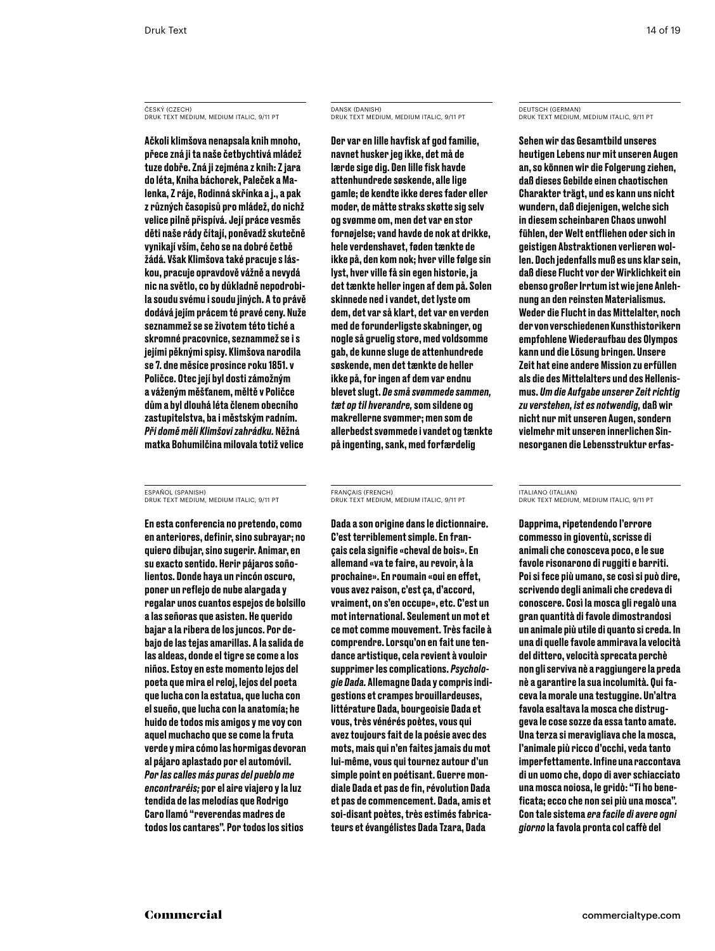ČESKÝ (CZECH) Druk Text Medium, medium italic, 9/11 PT

Ačkoli klimšova nenapsala knih mnoho, přece zná ji ta naše četbychtivá mládež tuze dobře. Zná ji zejména z knih: Z jara do léta, Kniha báchorek, Paleček a Malenka, Z ráje, Rodinná skřínka a j., a pak z různých časopisů pro mládež, do nichž velice pilně přispívá. Její práce vesměs děti naše rády čítají, poněvadž skutečně vynikají vším, čeho se na dobré četbě žádá. Však Klimšova také pracuje s láskou, pracuje opravdově vážně a nevydá nic na světlo, co by důkladně nepodrobila soudu svému i soudu jiných. A to právě dodává jejím prácem té pravé ceny. Nuže seznammež se se životem této tiché a skromné pracovnice, seznammež se i s jejími pěknými spisy. Klimšova narodila se 7. dne měsíce prosince roku 1851. v Poličce. Otec její byl dosti zámožným a váženým měšťanem, měltě v Poličce dům a byl dlouhá léta členem obecního zastupitelstva, ba i městským radním. *Při domě měli Klimšovi zahrádku.* Něžná matka Bohumilčina milovala totiž velice

ESPAÑOL (SPANISH) Druk Text Medium, medium italic, 9/11 PT

En esta conferencia no pretendo, como en anteriores, definir, sino subrayar; no quiero dibujar, sino sugerir. Animar, en su exacto sentido. Herir pájaros soñolientos. Donde haya un rincón oscuro, poner un reflejo de nube alargada y regalar unos cuantos espejos de bolsillo a las señoras que asisten. He querido bajar a la ribera de los juncos. Por debajo de las tejas amarillas. A la salida de las aldeas, donde el tigre se come a los niños. Estoy en este momento lejos del poeta que mira el reloj, lejos del poeta que lucha con la estatua, que lucha con el sueño, que lucha con la anatomía; he huido de todos mis amigos y me voy con aquel muchacho que se come la fruta verde y mira cómo las hormigas devoran al pájaro aplastado por el automóvil. *Por las calles más puras del pueblo me encontraréis;* por el aire viajero y la luz tendida de las melodías que Rodrigo Caro llamó "reverendas madres de todos los cantares". Por todos los sitios

# DANSK (DANISH) Druk Text Medium, medium italic, 9/11 PT

Der var en lille havfisk af god familie, navnet husker jeg ikke, det må de lærde sige dig. Den lille fisk havde attenhundrede søskende, alle lige gamle; de kendte ikke deres fader eller moder, de måtte straks skøtte sig selv og svømme om, men det var en stor fornøjelse; vand havde de nok at drikke, hele verdenshavet, føden tænkte de ikke på, den kom nok; hver ville følge sin lyst, hver ville få sin egen historie, ja det tænkte heller ingen af dem på. Solen skinnede ned i vandet, det lyste om dem, det var så klart, det var en verden med de forunderligste skabninger, og nogle så gruelig store, med voldsomme gab, de kunne sluge de attenhundrede søskende, men det tænkte de heller ikke på, for ingen af dem var endnu blevet slugt. *De små svømmede sammen, tæt op til hverandre,* som sildene og makrellerne svømmer; men som de allerbedst svømmede i vandet og tænkte på ingenting, sank, med forfærdelig

### FRANÇAIS (FRENCH) Druk Text Medium, medium italic, 9/11 PT

Dada a son origine dans le dictionnaire. C'est terriblement simple. En français cela signifie «cheval de bois». En allemand «va te faire, au revoir, à la prochaine». En roumain «oui en effet, vous avez raison, c'est ça, d'accord, vraiment, on s'en occupe», etc. C'est un mot international. Seulement un mot et ce mot comme mouvement. Très facile à comprendre. Lorsqu'on en fait une tendance artistique, cela revient à vouloir supprimer les complications. *Psychologie Dada.* Allemagne Dada y compris indigestions et crampes brouillardeuses, littérature Dada, bourgeoisie Dada et vous, très vénérés poètes, vous qui avez toujours fait de la poésie avec des mots, mais qui n'en faites jamais du mot lui-même, vous qui tournez autour d'un simple point en poétisant. Guerre mondiale Dada et pas de fin, révolution Dada et pas de commencement. Dada, amis et soi-disant poètes, très estimés fabricateurs et évangélistes Dada Tzara, Dada

# DEUTSCH (GERMAN) Druk Text Medium, medium italic, 9/11 PT

Sehen wir das Gesamtbild unseres heutigen Lebens nur mit unseren Augen an, so können wir die Folgerung ziehen, daß dieses Gebilde einen chaotischen Charakter trägt, und es kann uns nicht wundern, daß diejenigen, welche sich in diesem scheinbaren Chaos unwohl fühlen, der Welt entfliehen oder sich in geistigen Abstraktionen verlieren wollen. Doch jedenfalls muß es uns klar sein, daß diese Flucht vor der Wirklichkeit ein ebenso großer Irrtum ist wie jene Anlehnung an den reinsten Materialismus. Weder die Flucht in das Mittelalter, noch der von verschiedenen Kunsthistorikern empfohlene Wiederaufbau des Olympos kann und die Lösung bringen. Unsere Zeit hat eine andere Mission zu erfüllen als die des Mittelalters und des Hellenismus. *Um die Aufgabe unserer Zeit richtig zu verstehen, ist es notwendig,* daß wir nicht nur mit unseren Augen, sondern vielmehr mit unseren innerlichen Sinnesorganen die Lebensstruktur erfas-

### ITALIANO (ITALIAN) Druk Text Medium, medium italic, 9/11 PT

Dapprima, ripetendendo l'errore commesso in gioventù, scrisse di animali che conosceva poco, e le sue favole risonarono di ruggiti e barriti. Poi si fece più umano, se così si può dire, scrivendo degli animali che credeva di conoscere. Così la mosca gli regalò una gran quantità di favole dimostrandosi un animale più utile di quanto si creda. In una di quelle favole ammirava la velocità del dittero, velocità sprecata perchè non gli serviva nè a raggiungere la preda nè a garantire la sua incolumità. Qui faceva la morale una testuggine. Un'altra favola esaltava la mosca che distruggeva le cose sozze da essa tanto amate. Una terza si meravigliava che la mosca, l'animale più ricco d'occhi, veda tanto imperfettamente. Infine una raccontava di un uomo che, dopo di aver schiacciato una mosca noiosa, le gridò: "Ti ho beneficata; ecco che non sei più una mosca". Con tale sistema *era facile di avere ogni giorno* la favola pronta col caffè del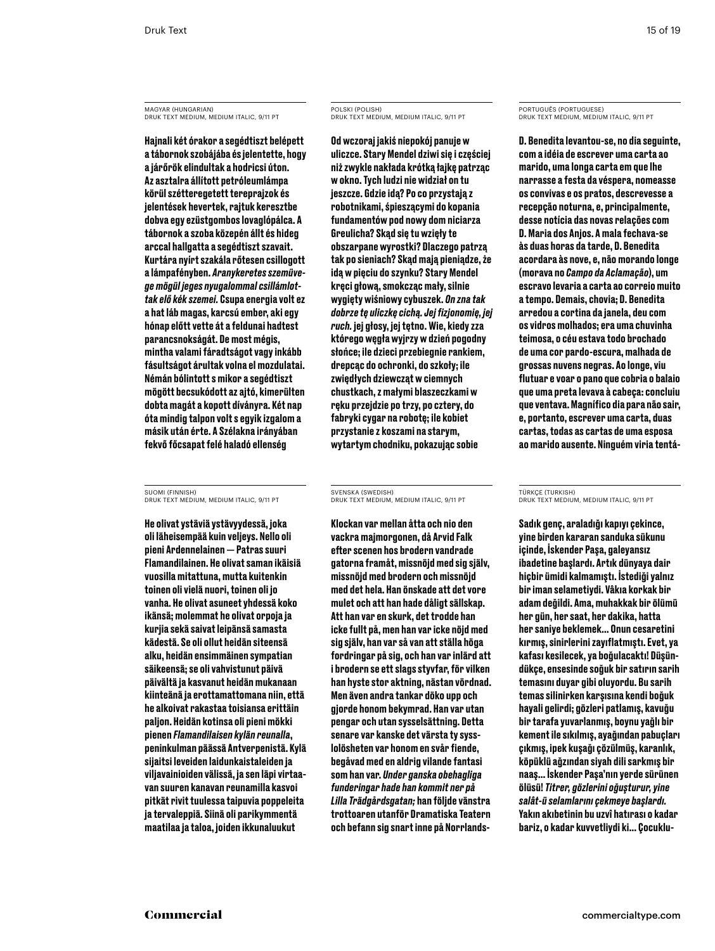MAGYAR (HUNGARIAN) Druk Text Medium, medium italic, 9/11 PT

Hajnali két órakor a segédtiszt belépett a tábornok szobájába és jelentette, hogy a járőrök elindultak a hodricsi úton. Az asztalra állított petróleumlámpa körül szétteregetett tereprajzok és jelentések hevertek, rajtuk keresztbe dobva egy ezüstgombos lovaglópálca. A tábornok a szoba közepén állt és hideg arccal hallgatta a segédtiszt szavait. Kurtára nyírt szakála rőtesen csillogott a lámpafényben. *Aranykeretes szemüvege mögül jeges nyugalommal csillámlottak elő kék szemei.* Csupa energia volt ez a hat láb magas, karcsú ember, aki egy hónap előtt vette át a feldunai hadtest parancsnokságát. De most mégis, mintha valami fáradtságot vagy inkább fásultságot árultak volna el mozdulatai. Némán bólintott s mikor a segédtiszt mögött becsukódott az ajtó, kimerülten dobta magát a kopott díványra. Két nap óta mindig talpon volt s egyik izgalom a másik után érte. A Szélakna irányában fekvő főcsapat felé haladó ellenség

SUOMI (FINNISH) Druk Text Medium, medium italic, 9/11 PT

He olivat ystäviä ystävyydessä, joka oli läheisempää kuin veljeys. Nello oli pieni Ardennelainen — Patras suuri Flamandilainen. He olivat saman ikäisiä vuosilla mitattuna, mutta kuitenkin toinen oli vielä nuori, toinen oli jo vanha. He olivat asuneet yhdessä koko ikänsä; molemmat he olivat orpoja ja kurjia sekä saivat leipänsä samasta kädestä. Se oli ollut heidän siteensä alku, heidän ensimmäinen sympatian säikeensä; se oli vahvistunut päivä päivältä ja kasvanut heidän mukanaan kiinteänä ja erottamattomana niin, että he alkoivat rakastaa toisiansa erittäin paljon. Heidän kotinsa oli pieni mökki pienen *Flamandilaisen kylän reunalla*, peninkulman päässä Antverpenistä. Kylä sijaitsi leveiden laidunkaistaleiden ja viljavainioiden välissä, ja sen läpi virtaavan suuren kanavan reunamilla kasvoi pitkät rivit tuulessa taipuvia poppeleita ja tervaleppiä. Siinä oli parikymmentä maatilaa ja taloa, joiden ikkunaluukut

# POLSKI (POLISH) Druk Text Medium, medium italic, 9/11 PT

Od wczoraj jakiś niepokój panuje w uliczce. Stary Mendel dziwi się i częściej niż zwykle nakłada krótką łajkę patrząc w okno. Tych ludzi nie widział on tu jeszcze. Gdzie idą? Po co przystają z robotnikami, śpieszącymi do kopania fundamentów pod nowy dom niciarza Greulicha? Skąd się tu wzięły te obszarpane wyrostki? Dlaczego patrzą tak po sieniach? Skąd mają pieniądze, że idą w pięciu do szynku? Stary Mendel kręci głową, smokcząc mały, silnie wygięty wiśniowy cybuszek. *On zna tak dobrze tę uliczkę cichą. Jej fizjonomię, jej ruch.* jej głosy, jej tętno. Wie, kiedy zza którego węgła wyjrzy w dzień pogodny słońce; ile dzieci przebiegnie rankiem, drepcąc do ochronki, do szkoły; ile zwiędłych dziewcząt w ciemnych chustkach, z małymi blaszeczkami w ręku przejdzie po trzy, po cztery, do fabryki cygar na robotę; ile kobiet przystanie z koszami na starym, wytartym chodniku, pokazując sobie

### SVENSKA (SWEDISH) Druk Text Medium, medium italic, 9/11 PT

Klockan var mellan åtta och nio den vackra majmorgonen, då Arvid Falk efter scenen hos brodern vandrade gatorna framåt, missnöjd med sig själv, missnöjd med brodern och missnöjd med det hela. Han önskade att det vore mulet och att han hade dåligt sällskap. Att han var en skurk, det trodde han icke fullt på, men han var icke nöjd med sig själv, han var så van att ställa höga fordringar på sig, och han var inlärd att i brodern se ett slags styvfar, för vilken han hyste stor aktning, nästan vördnad. Men även andra tankar döko upp och gjorde honom bekymrad. Han var utan pengar och utan sysselsättning. Detta senare var kanske det värsta ty sysslolösheten var honom en svår fiende, begåvad med en aldrig vilande fantasi som han var. *Under ganska obehagliga funderingar hade han kommit ner på Lilla Trädgårdsgatan;* han följde vänstra trottoaren utanför Dramatiska Teatern och befann sig snart inne på Norrlands-

# PORTUGUÊS (PORTUGUESE) Druk Text Medium, medium italic, 9/11 PT

D. Benedita levantou-se, no dia seguinte, com a idéia de escrever uma carta ao marido, uma longa carta em que lhe narrasse a festa da véspera, nomeasse os convivas e os pratos, descrevesse a recepção noturna, e, principalmente, desse notícia das novas relações com D. Maria dos Anjos. A mala fechava-se às duas horas da tarde, D. Benedita acordara às nove, e, não morando longe (morava no *Campo da Aclamação*), um escravo levaria a carta ao correio muito a tempo. Demais, chovia; D. Benedita arredou a cortina da janela, deu com os vidros molhados; era uma chuvinha teimosa, o céu estava todo brochado de uma cor pardo-escura, malhada de grossas nuvens negras. Ao longe, viu flutuar e voar o pano que cobria o balaio que uma preta levava à cabeça: concluiu que ventava. Magnífico dia para não sair, e, portanto, escrever uma carta, duas cartas, todas as cartas de uma esposa ao marido ausente. Ninguém viria tentá-

### TÜRKÇE (TURKISH) Druk Text Medium, medium italic, 9/11 PT

Sadık genç, araladığı kapıyı çekince, yine birden kararan sanduka sükunu içinde, İskender Paşa, galeyansız ibadetine başlardı. Artık dünyaya dair hiçbir ümidi kalmamıştı. İstediği yalnız bir iman selametiydi. Vâkıa korkak bir adam değildi. Ama, muhakkak bir ölümü her gün, her saat, her dakika, hatta her saniye beklemek… Onun cesaretini kırmış, sinirlerini zayıflatmıştı. Evet, ya kafası kesilecek, ya boğulacaktı! Düşündükçe, ensesinde soğuk bir satırın sarih temasını duyar gibi oluyordu. Bu sarih temas silinirken karşısına kendi boğuk hayali gelirdi; gözleri patlamış, kavuğu bir tarafa yuvarlanmış, boynu yağlı bir kement ile sıkılmış, ayağından pabuçları çıkmış, ipek kuşağı çözülmüş, karanlık, köpüklü ağzından siyah dili sarkmış bir naaş… İskender Paşa'nın yerde sürünen ölüsü! *Titrer, gözlerini oğuşturur, yine salât-ü selamlarını çekmeye başlardı.* Yakın akıbetinin bu uzvî hatırası o kadar bariz, o kadar kuvvetliydi ki… Çocuklu-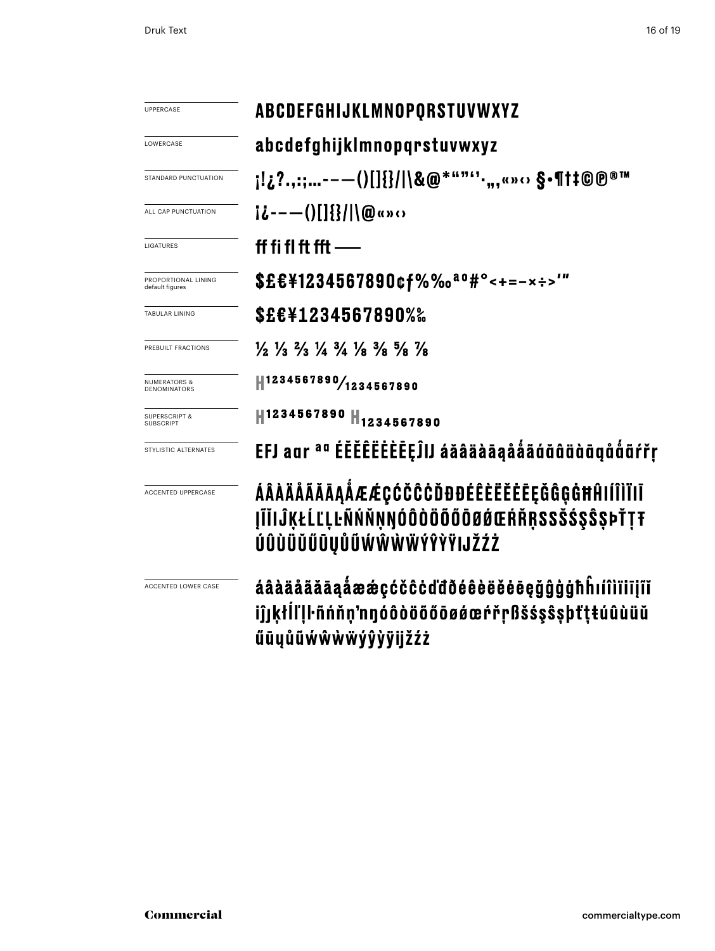| UPPERCASE                              | ABCDEFGHIJKLMNOPQRSTUVWXYZ                                                                                                    |  |  |  |  |
|----------------------------------------|-------------------------------------------------------------------------------------------------------------------------------|--|--|--|--|
| LOWERCASE                              | abcdefghijklmnopqrstuvwxyz                                                                                                    |  |  |  |  |
| STANDARD PUNCTUATION                   |                                                                                                                               |  |  |  |  |
| ALL CAP PUNCTUATION                    | $i\delta$ ----()[]{}/ \@«» $\Omega$                                                                                           |  |  |  |  |
| LIGATURES                              | ff fi fl ft fft $-$                                                                                                           |  |  |  |  |
| PROPORTIONAL LINING<br>default figures | \$£€¥1234567890¢f%‰ <sup>ao</sup> #°<+=-×÷>'"                                                                                 |  |  |  |  |
| TABULAR LINING                         | <b>\$£€¥1234567890%</b> ‰                                                                                                     |  |  |  |  |
| PREBUILT FRACTIONS                     | $\frac{1}{2}$ $\frac{1}{3}$ $\frac{2}{3}$ $\frac{1}{4}$ $\frac{3}{4}$ $\frac{1}{8}$ $\frac{3}{8}$ $\frac{5}{8}$ $\frac{7}{8}$ |  |  |  |  |
| NUMERATORS 8<br><b>DENOMINATORS</b>    | 1234567890/1234567890                                                                                                         |  |  |  |  |
| <b>SUPERSCRIPT &amp;</b><br>SUBSCRIPT  | H1234567890 H <sub>1234567890</sub>                                                                                           |  |  |  |  |
| STYLISTIC ALTERNATES                   | EFJ aar <sup>aa</sup> ÉĔĚÊËËĖÈĒĘĴIJ áăâäàāąååãáŭâäàāgååãŕřŗ                                                                   |  |  |  |  |
| <b>ACCENTED UPPERCASE</b>              | ÁÂÀÄĂĂĂĀĄÅÆÆÇĆČĈĊĎĐĐÉÊÈËĔĔĒĘĞĜĢĠĦĤIÍÎÌÏIĪ<br><b>ĮĨĬIĴĶŁĹĽĻĿÑŃŇŅŊÓÔÒÖŐŐŐØØŒŔŘŖSSŠŚŞŜŞÞŤŢŦ</b><br>ÚÛÙÜŬŰŪŲŮŨŴŴŴŴÝŶŸIJŽŹŻ        |  |  |  |  |
| ACCENTED LOWER CASE                    | áâàäåãăāąåææçćčĉċďđðéêèëěēeğĝģġħĥıíîìïiiįĩĭ<br>iĵjķłĺľlŀñńňṇ'nŋóôòöõőōøǿœŕřṛßšśşŝşþťṭŧúûùüŭ<br>űūųůũẃŵẁẅýŷỳÿijžźż             |  |  |  |  |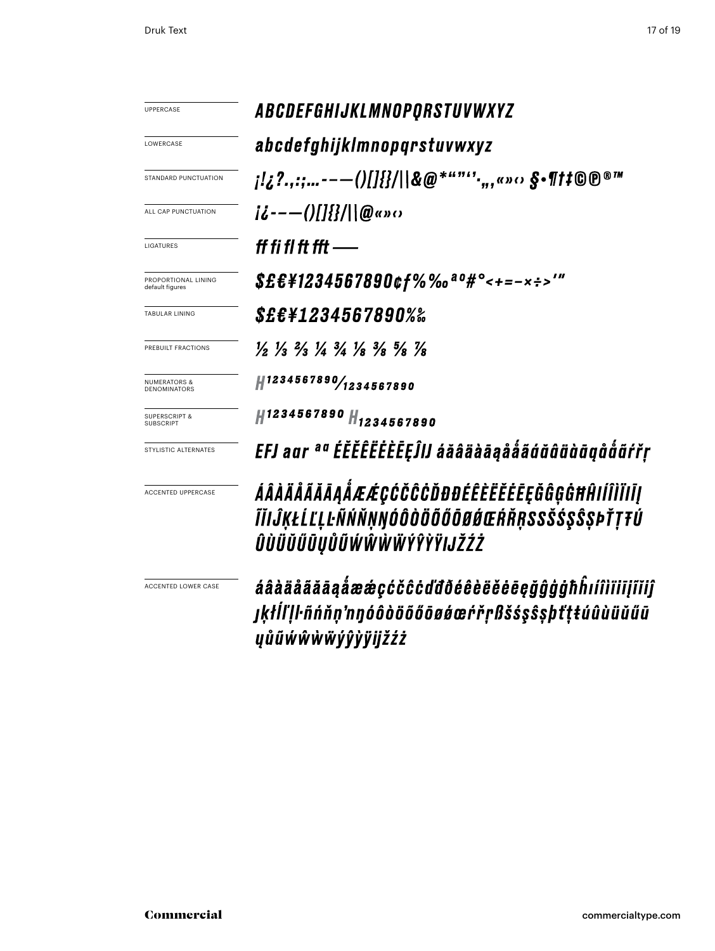| <b>UPPERCASE</b>                             | ABCDEFGHIJKLMNOPQRSTUVWXYZ                                                                                                    |  |  |  |  |
|----------------------------------------------|-------------------------------------------------------------------------------------------------------------------------------|--|--|--|--|
| LOWERCASE                                    | abcdefghijklmnopqrstuvwxyz                                                                                                    |  |  |  |  |
| STANDARD PUNCTUATION                         |                                                                                                                               |  |  |  |  |
| ALL CAP PUNCTUATION                          | $i\ddot{\iota}$ --- $($ )[]{}/  @«» $\alpha$                                                                                  |  |  |  |  |
| LIGATURES                                    | ff fi fl ft fft —                                                                                                             |  |  |  |  |
| PROPORTIONAL LINING<br>default figures       | \$£€¥1234567890¢f%‰ <sup>ao</sup> #°<+=-×÷>'"                                                                                 |  |  |  |  |
| <b>TABULAR LINING</b>                        | <i>S£€¥1234567890%‰</i>                                                                                                       |  |  |  |  |
| PREBUILT FRACTIONS                           | $\frac{1}{2}$ $\frac{1}{3}$ $\frac{2}{3}$ $\frac{1}{4}$ $\frac{3}{4}$ $\frac{1}{8}$ $\frac{3}{8}$ $\frac{5}{8}$ $\frac{7}{8}$ |  |  |  |  |
| <b>NUMERATORS &amp;</b><br>DENOMINATORS      | #1234567890/1234567890                                                                                                        |  |  |  |  |
| <b>SUPERSCRIPT &amp;</b><br><b>SUBSCRIPT</b> | H1234567890 H <sub>1234567890</sub>                                                                                           |  |  |  |  |
| STYLISTIC ALTERNATES                         | EFJ aur <sup>au</sup> ÉĔĔĔĔĔĔĒĒĘĴIJ áăâäàāąååãģŭûüùūgůåãŕřŗ                                                                   |  |  |  |  |
| <b>ACCENTED UPPERCASE</b>                    | ÁÂÀÄÄÄÄĀĄÅÆÆÇĆČĈĊĎĐĐÉÊÈËĔĔĒĘĞĜĢĠĦĤIÍÎÌĬIĪĮ<br>ĨĬIĴĶŁĹĽĻĿÑŃŇŅŊÓÔÒÖÕŐÕØŔŒŔŘŖSSŠŚŞŜŞÞŤŢŦÚ<br>ÛÙÜŬŰŪŲŮŨŴŴŴŴŶŶŶŸIJŽŹŻ              |  |  |  |  |
| ACCENTED LOWER CASE                          | áâàäåããāąåææçćčĉċďđðéêèëĕēēęǧĝģġħĥıíîìïiijïĭiĵ<br>jķłlľļŀñńňņ'nŋóôòöõőōøǿœŕřŗßšśşŝşþťţŧúûùüŭűū<br>yůũẃŵẁẅýŷỳÿijžźż            |  |  |  |  |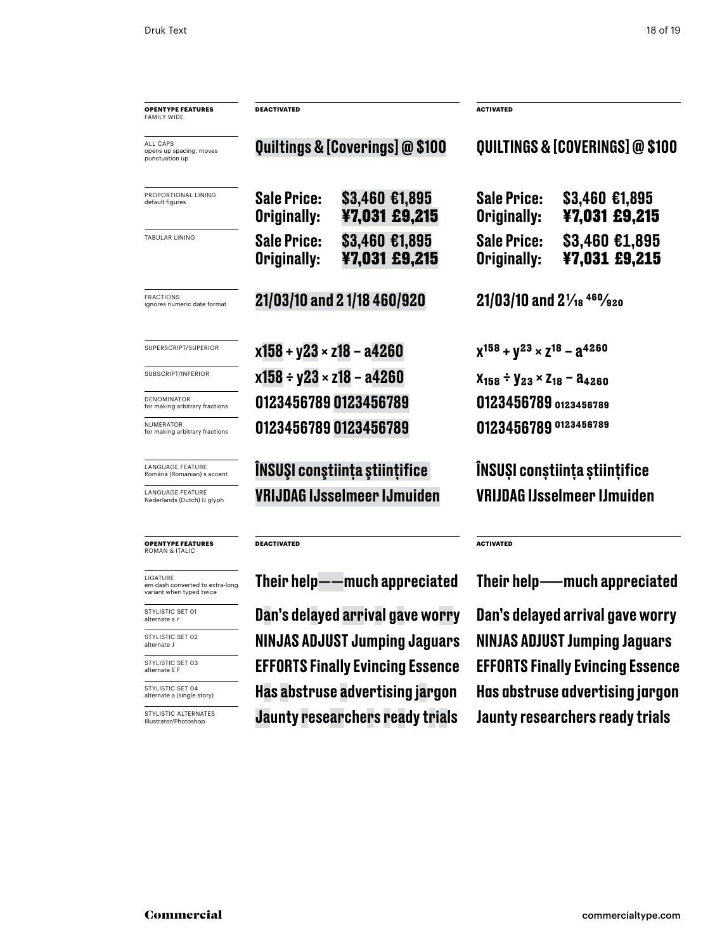| <b>OPENTYPE FEATURES</b><br><b>FAMILY WIDE</b>                          | <b>DEACTIVATED</b>                      |                                      | <b>ACTIVATED</b>                                   |                                  |  |
|-------------------------------------------------------------------------|-----------------------------------------|--------------------------------------|----------------------------------------------------|----------------------------------|--|
| ALL CAPS<br>opens up spacing, moves<br>punctuation up                   | Quiltings & [Coverings] @ \$100         |                                      | QUILTINGS & [COVERINGS] @ \$100                    |                                  |  |
| PROPORTIONAL LINING<br>default figures                                  | <b>Sale Price:</b><br>Originally:       | \$3,460 €1,895<br>¥7,031 £9,215      | <b>Sale Price:</b><br>Originally:                  | $$3,460$ €1,895<br>¥7,031 £9,215 |  |
| TABULAR LINING                                                          | <b>Sale Price:</b><br>Originally:       | \$3,460 €1,895<br>¥7,031 £9,215      | <b>Sale Price:</b><br>Originally:                  | \$3,460 €1,895<br>¥7,031 £9,215  |  |
| <b>FRACTIONS</b><br>ignores numeric date format                         |                                         | 21/03/10 and 21/18 460/920           | $21/03/10$ and $2\frac{1}{18}$ <sup>460</sup> /920 |                                  |  |
| SUPERSCRIPT/SUPERIOR                                                    | $x158 + y23 \times z18 - a4260$         |                                      | $X^{158} + Y^{23} \times Z^{18} - Z^{4260}$        |                                  |  |
| SUBSCRIPT/INFERIOR                                                      | $x158 \div y23 \times z18 - a4260$      |                                      | $X_{158}$ + $Y_{23}$ × $Z_{18}$ – $a_{4260}$       |                                  |  |
| DENOMINATOR<br>for making arbitrary fractions                           |                                         | 0123456789 0123456789                | 0123456789 0123456789                              |                                  |  |
| <b>NUMERATOR</b><br>for making arbitrary fractions                      |                                         | 0123456789 0123456789                | 0123456789 0123456789                              |                                  |  |
| <b>LANGUAGE FEATURE</b><br>Română (Romanian) s accent                   |                                         | <b>INSUSI constiința științifice</b> | INSUSI constiința științifice                      |                                  |  |
| <b>LANGUAGE FEATURE</b><br>Nederlands (Dutch) IJ glyph                  |                                         | <b>VRIJDAG IJsselmeer IJmuiden</b>   | <b>VRIJDAG IJsselmeer IJmuiden</b>                 |                                  |  |
| <b>OPENTYPE FEATURES</b><br><b>ROMAN &amp; ITALIC</b>                   | <b>DEACTIVATED</b>                      |                                      | <b>ACTIVATED</b>                                   |                                  |  |
| LIGATURE<br>em dash converted to extra-long<br>variant when typed twice | Their help——much appreciated            |                                      | Their help——much appreciated                       |                                  |  |
| STYLISTIC SET 01<br>alternate a r                                       | Dan's delayed arrival gave worry        |                                      | Dan's delayed arrival gave worry                   |                                  |  |
| STYLISTIC SET 02<br>alternate J                                         | <b>NINJAS ADJUST Jumping Jaguars</b>    |                                      | <b>NINJAS ADJUST Jumping Jaguars</b>               |                                  |  |
| STYLISTIC SET 03<br>alternate E F                                       | <b>EFFORTS Finally Evincing Essence</b> |                                      | <b>EFFORTS Finally Evincing Essence</b>            |                                  |  |
| STYLISTIC SET 04<br>alternate a (single story)                          | Has abstruse advertising jargon         |                                      | Has abstruse advertising jargon                    |                                  |  |
| STYLISTIC ALTERNATES<br>Illustrator/Photoshop                           | <b>Jaunty researchers ready trials</b>  |                                      | <b>Jaunty researchers ready trials</b>             |                                  |  |